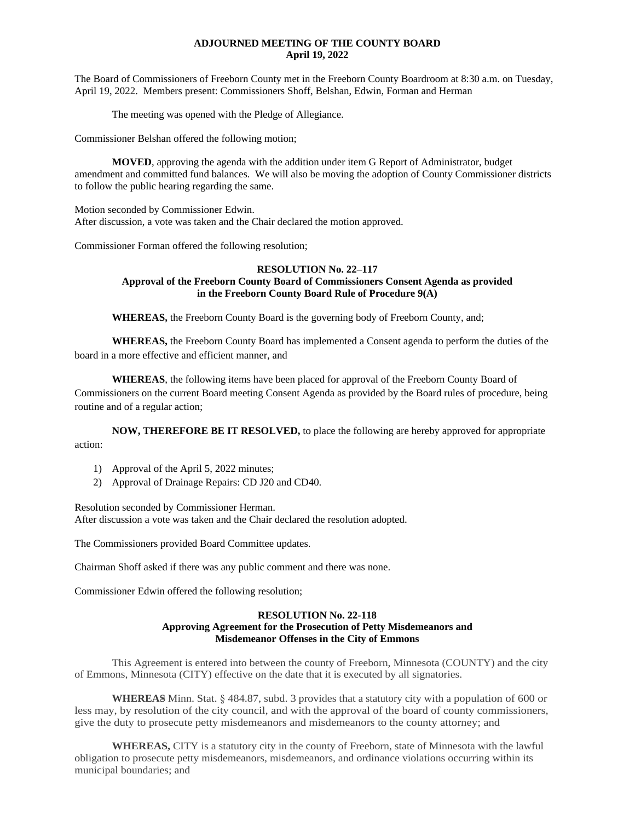# **ADJOURNED MEETING OF THE COUNTY BOARD April 19, 2022**

The Board of Commissioners of Freeborn County met in the Freeborn County Boardroom at 8:30 a.m. on Tuesday, April 19, 2022. Members present: Commissioners Shoff, Belshan, Edwin, Forman and Herman

The meeting was opened with the Pledge of Allegiance.

Commissioner Belshan offered the following motion;

**MOVED**, approving the agenda with the addition under item G Report of Administrator, budget amendment and committed fund balances. We will also be moving the adoption of County Commissioner districts to follow the public hearing regarding the same.

Motion seconded by Commissioner Edwin. After discussion, a vote was taken and the Chair declared the motion approved.

Commissioner Forman offered the following resolution;

# **RESOLUTION No. 22–117 Approval of the Freeborn County Board of Commissioners Consent Agenda as provided in the Freeborn County Board Rule of Procedure 9(A)**

**WHEREAS,** the Freeborn County Board is the governing body of Freeborn County, and;

**WHEREAS,** the Freeborn County Board has implemented a Consent agenda to perform the duties of the board in a more effective and efficient manner, and

**WHEREAS**, the following items have been placed for approval of the Freeborn County Board of Commissioners on the current Board meeting Consent Agenda as provided by the Board rules of procedure, being routine and of a regular action;

**NOW, THEREFORE BE IT RESOLVED,** to place the following are hereby approved for appropriate action:

- 1) Approval of the April 5, 2022 minutes;
- 2) Approval of Drainage Repairs: CD J20 and CD40.

Resolution seconded by Commissioner Herman. After discussion a vote was taken and the Chair declared the resolution adopted.

The Commissioners provided Board Committee updates.

Chairman Shoff asked if there was any public comment and there was none.

Commissioner Edwin offered the following resolution;

# **RESOLUTION No. 22-118 Approving Agreement for the Prosecution of Petty Misdemeanors and Misdemeanor Offenses in the City of Emmons**

This Agreement is entered into between the county of Freeborn, Minnesota (COUNTY) and the city of Emmons, Minnesota (CITY) effective on the date that it is executed by all signatories.

**WHEREAS=** Minn. Stat. § 484.87, subd. 3 provides that a statutory city with a population of 600 or less may, by resolution of the city council, and with the approval of the board of county commissioners, give the duty to prosecute petty misdemeanors and misdemeanors to the county attorney; and

**WHEREAS,** CITY is a statutory city in the county of Freeborn, state of Minnesota with the lawful obligation to prosecute petty misdemeanors, misdemeanors, and ordinance violations occurring within its municipal boundaries; and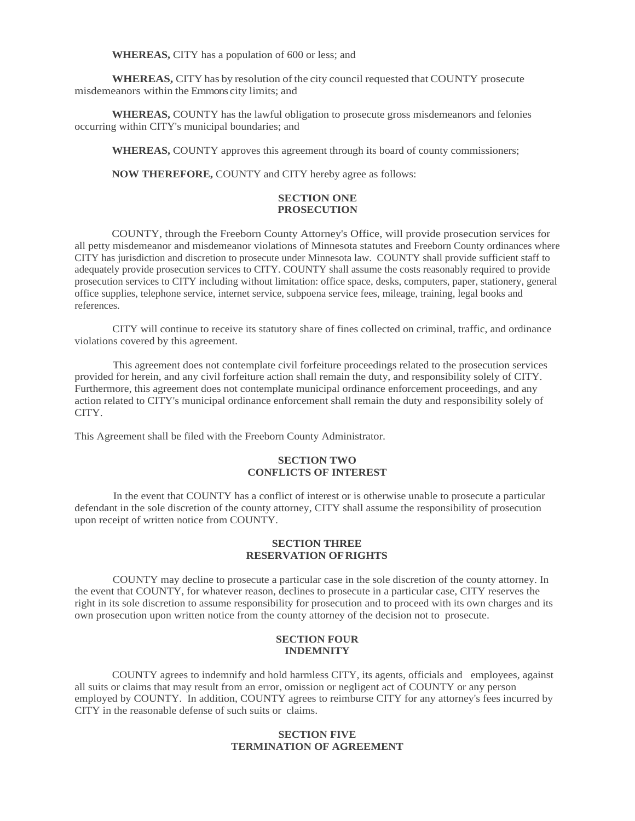**WHEREAS,** CITY has a population of 600 or less; and

**WHEREAS,** CITY has by resolution of the city council requested that COUNTY prosecute misdemeanors within the Emmons city limits; and

**WHEREAS,** COUNTY has the lawful obligation to prosecute gross misdemeanors and felonies occurring within CITY's municipal boundaries; and

**WHEREAS,** COUNTY approves this agreement through its board of county commissioners;

**NOW THEREFORE,** COUNTY and CITY hereby agree as follows:

### **SECTION ONE PROSECUTION**

COUNTY, through the Freeborn County Attorney's Office, will provide prosecution services for all petty misdemeanor and misdemeanor violations of Minnesota statutes and Freeborn County ordinances where CITY has jurisdiction and discretion to prosecute under Minnesota law. COUNTY shall provide sufficient staff to adequately provide prosecution services to CITY. COUNTY shall assume the costs reasonably required to provide prosecution services to CITY including without limitation: office space, desks, computers, paper, stationery, general office supplies, telephone service, internet service, subpoena service fees, mileage, training, legal books and references.

CITY will continue to receive its statutory share of fines collected on criminal, traffic, and ordinance violations covered by this agreement.

This agreement does not contemplate civil forfeiture proceedings related to the prosecution services provided for herein, and any civil forfeiture action shall remain the duty, and responsibility solely of CITY. Furthermore, this agreement does not contemplate municipal ordinance enforcement proceedings, and any action related to CITY's municipal ordinance enforcement shall remain the duty and responsibility solely of CITY.

This Agreement shall be filed with the Freeborn County Administrator.

### **SECTION TWO CONFLICTS OF INTEREST**

In the event that COUNTY has a conflict of interest or is otherwise unable to prosecute a particular defendant in the sole discretion of the county attorney, CITY shall assume the responsibility of prosecution upon receipt of written notice from COUNTY.

#### **SECTION THREE RESERVATION OFRIGHTS**

COUNTY may decline to prosecute a particular case in the sole discretion of the county attorney. In the event that COUNTY, for whatever reason, declines to prosecute in a particular case, CITY reserves the right in its sole discretion to assume responsibility for prosecution and to proceed with its own charges and its own prosecution upon written notice from the county attorney of the decision not to prosecute.

#### **SECTION FOUR INDEMNITY**

COUNTY agrees to indemnify and hold harmless CITY, its agents, officials and employees, against all suits or claims that may result from an error, omission or negligent act of COUNTY or any person employed by COUNTY. In addition, COUNTY agrees to reimburse CITY for any attorney's fees incurred by CITY in the reasonable defense of such suits or claims.

### **SECTION FIVE TERMINATION OF AGREEMENT**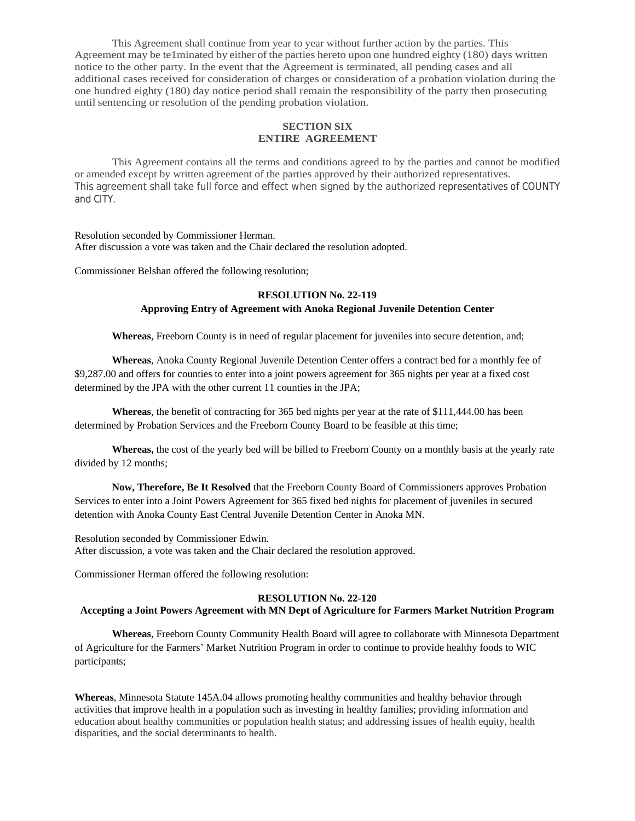This Agreement shall continue from year to year without further action by the parties. This Agreement may be te1minated by either of the parties hereto upon one hundred eighty (180) days written notice to the other party. In the event that the Agreement is terminated, all pending cases and all additional cases received for consideration of charges or consideration of a probation violation during the one hundred eighty (180) day notice period shall remain the responsibility of the party then prosecuting until sentencing or resolution of the pending probation violation.

# **SECTION SIX ENTIRE AGREEMENT**

This Agreement contains all the terms and conditions agreed to by the parties and cannot be modified or amended except by written agreement of the parties approved by their authorized representatives. This agreement shall take full force and effect when signed by the authorized representatives of COUNTY and CITY.

#### Resolution seconded by Commissioner Herman. After discussion a vote was taken and the Chair declared the resolution adopted.

Commissioner Belshan offered the following resolution;

# **RESOLUTION No. 22-119 Approving Entry of Agreement with Anoka Regional Juvenile Detention Center**

**Whereas**, Freeborn County is in need of regular placement for juveniles into secure detention, and;

**Whereas**, Anoka County Regional Juvenile Detention Center offers a contract bed for a monthly fee of \$9,287.00 and offers for counties to enter into a joint powers agreement for 365 nights per year at a fixed cost determined by the JPA with the other current 11 counties in the JPA;

**Whereas**, the benefit of contracting for 365 bed nights per year at the rate of \$111,444.00 has been determined by Probation Services and the Freeborn County Board to be feasible at this time;

**Whereas,** the cost of the yearly bed will be billed to Freeborn County on a monthly basis at the yearly rate divided by 12 months;

**Now, Therefore, Be It Resolved** that the Freeborn County Board of Commissioners approves Probation Services to enter into a Joint Powers Agreement for 365 fixed bed nights for placement of juveniles in secured detention with Anoka County East Central Juvenile Detention Center in Anoka MN.

Resolution seconded by Commissioner Edwin. After discussion, a vote was taken and the Chair declared the resolution approved.

Commissioner Herman offered the following resolution:

# **RESOLUTION No. 22-120**

# **Accepting a Joint Powers Agreement with MN Dept of Agriculture for Farmers Market Nutrition Program**

**Whereas**, Freeborn County Community Health Board will agree to collaborate with Minnesota Department of Agriculture for the Farmers' Market Nutrition Program in order to continue to provide healthy foods to WIC participants;

**Whereas**, Minnesota Statute 145A.04 allows promoting healthy communities and healthy behavior through activities that improve health in a population such as investing in healthy families; providing information and education about healthy communities or population health status; and addressing issues of health equity, health disparities, and the social determinants to health.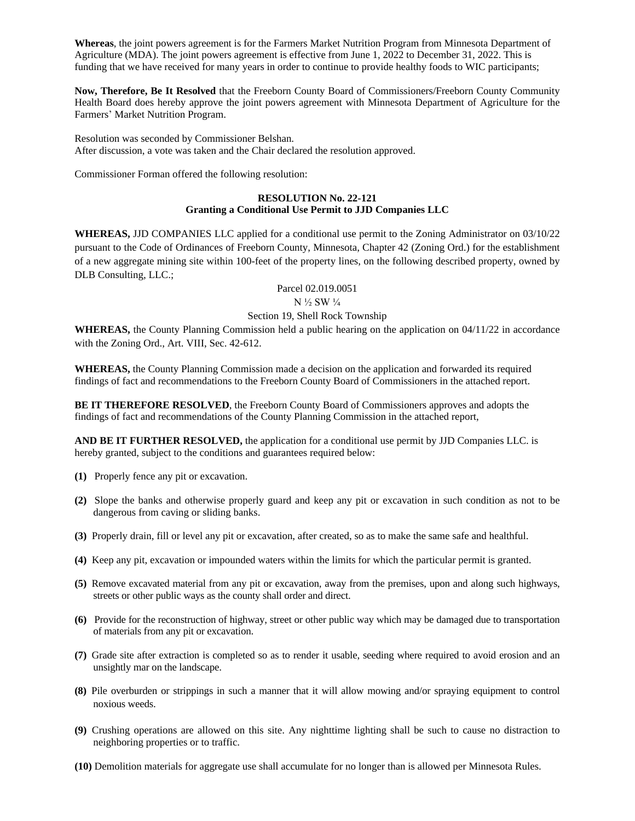**Whereas**, the joint powers agreement is for the Farmers Market Nutrition Program from Minnesota Department of Agriculture (MDA). The joint powers agreement is effective from June 1, 2022 to December 31, 2022. This is funding that we have received for many years in order to continue to provide healthy foods to WIC participants;

**Now, Therefore, Be It Resolved** that the Freeborn County Board of Commissioners/Freeborn County Community Health Board does hereby approve the joint powers agreement with Minnesota Department of Agriculture for the Farmers' Market Nutrition Program.

Resolution was seconded by Commissioner Belshan. After discussion, a vote was taken and the Chair declared the resolution approved.

Commissioner Forman offered the following resolution:

# **RESOLUTION No. 22-121 Granting a Conditional Use Permit to JJD Companies LLC**

**WHEREAS,** JJD COMPANIES LLC applied for a conditional use permit to the Zoning Administrator on 03/10/22 pursuant to the Code of Ordinances of Freeborn County, Minnesota, Chapter 42 (Zoning Ord.) for the establishment of a new aggregate mining site within 100-feet of the property lines, on the following described property, owned by DLB Consulting, LLC.;

#### Parcel 02.019.0051 N ½ SW ¼

# Section 19, Shell Rock Township

**WHEREAS,** the County Planning Commission held a public hearing on the application on 04/11/22 in accordance with the Zoning Ord., Art. VIII, Sec. 42-612.

**WHEREAS,** the County Planning Commission made a decision on the application and forwarded its required findings of fact and recommendations to the Freeborn County Board of Commissioners in the attached report.

**BE IT THEREFORE RESOLVED**, the Freeborn County Board of Commissioners approves and adopts the findings of fact and recommendations of the County Planning Commission in the attached report,

**AND BE IT FURTHER RESOLVED,** the application for a conditional use permit by JJD Companies LLC. is hereby granted, subject to the conditions and guarantees required below:

- **(1)** Properly fence any pit or excavation.
- **(2)** Slope the banks and otherwise properly guard and keep any pit or excavation in such condition as not to be dangerous from caving or sliding banks.
- **(3)** Properly drain, fill or level any pit or excavation, after created, so as to make the same safe and healthful.
- **(4)** Keep any pit, excavation or impounded waters within the limits for which the particular permit is granted.
- **(5)** Remove excavated material from any pit or excavation, away from the premises, upon and along such highways, streets or other public ways as the county shall order and direct.
- **(6)** Provide for the reconstruction of highway, street or other public way which may be damaged due to transportation of materials from any pit or excavation.
- **(7)** Grade site after extraction is completed so as to render it usable, seeding where required to avoid erosion and an unsightly mar on the landscape.
- **(8)** Pile overburden or strippings in such a manner that it will allow mowing and/or spraying equipment to control noxious weeds.
- **(9)** Crushing operations are allowed on this site. Any nighttime lighting shall be such to cause no distraction to neighboring properties or to traffic.
- **(10)** Demolition materials for aggregate use shall accumulate for no longer than is allowed per Minnesota Rules.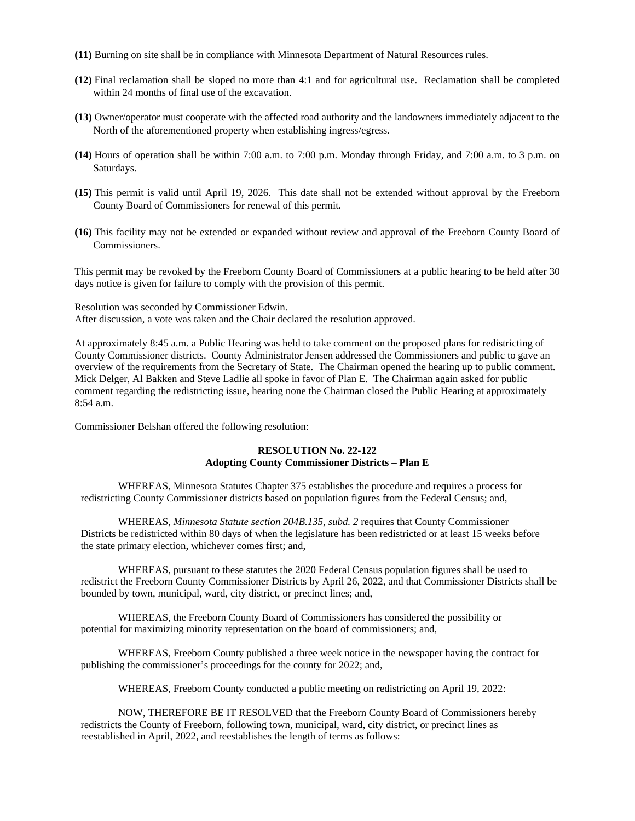- **(11)** Burning on site shall be in compliance with Minnesota Department of Natural Resources rules.
- **(12)** Final reclamation shall be sloped no more than 4:1 and for agricultural use. Reclamation shall be completed within 24 months of final use of the excavation.
- **(13)** Owner/operator must cooperate with the affected road authority and the landowners immediately adjacent to the North of the aforementioned property when establishing ingress/egress.
- **(14)** Hours of operation shall be within 7:00 a.m. to 7:00 p.m. Monday through Friday, and 7:00 a.m. to 3 p.m. on Saturdays.
- **(15)** This permit is valid until April 19, 2026. This date shall not be extended without approval by the Freeborn County Board of Commissioners for renewal of this permit.
- **(16)** This facility may not be extended or expanded without review and approval of the Freeborn County Board of Commissioners.

This permit may be revoked by the Freeborn County Board of Commissioners at a public hearing to be held after 30 days notice is given for failure to comply with the provision of this permit.

Resolution was seconded by Commissioner Edwin. After discussion, a vote was taken and the Chair declared the resolution approved.

At approximately 8:45 a.m. a Public Hearing was held to take comment on the proposed plans for redistricting of County Commissioner districts. County Administrator Jensen addressed the Commissioners and public to gave an overview of the requirements from the Secretary of State. The Chairman opened the hearing up to public comment. Mick Delger, Al Bakken and Steve Ladlie all spoke in favor of Plan E. The Chairman again asked for public comment regarding the redistricting issue, hearing none the Chairman closed the Public Hearing at approximately 8:54 a.m.

Commissioner Belshan offered the following resolution:

# **RESOLUTION No. 22-122 Adopting County Commissioner Districts – Plan E**

WHEREAS, Minnesota Statutes Chapter 375 establishes the procedure and requires a process for redistricting County Commissioner districts based on population figures from the Federal Census; and,

WHEREAS, *Minnesota Statute section 204B.135, subd. 2* requires that County Commissioner Districts be redistricted within 80 days of when the legislature has been redistricted or at least 15 weeks before the state primary election, whichever comes first; and,

WHEREAS, pursuant to these statutes the 2020 Federal Census population figures shall be used to redistrict the Freeborn County Commissioner Districts by April 26, 2022, and that Commissioner Districts shall be bounded by town, municipal, ward, city district, or precinct lines; and,

WHEREAS, the Freeborn County Board of Commissioners has considered the possibility or potential for maximizing minority representation on the board of commissioners; and,

WHEREAS, Freeborn County published a three week notice in the newspaper having the contract for publishing the commissioner's proceedings for the county for 2022; and,

WHEREAS, Freeborn County conducted a public meeting on redistricting on April 19, 2022:

NOW, THEREFORE BE IT RESOLVED that the Freeborn County Board of Commissioners hereby redistricts the County of Freeborn, following town, municipal, ward, city district, or precinct lines as reestablished in April, 2022, and reestablishes the length of terms as follows: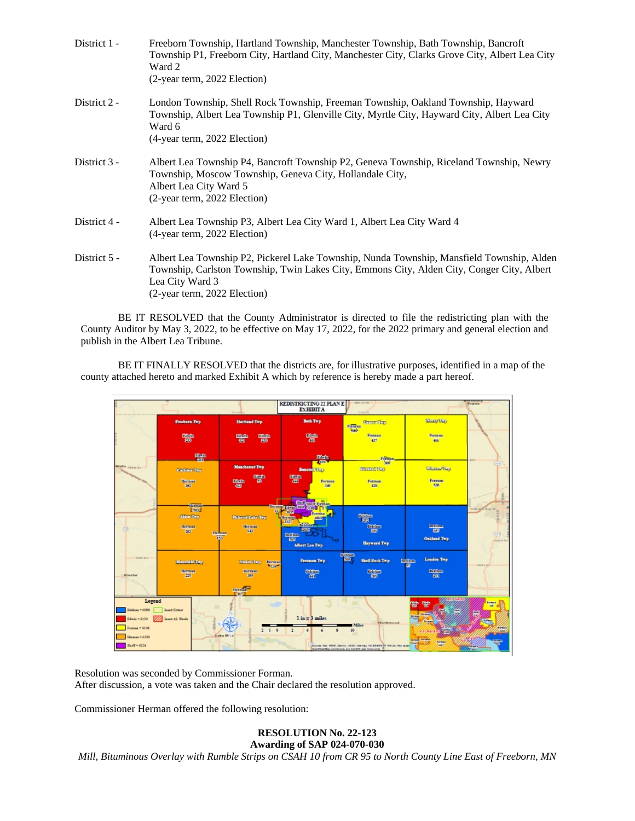| District 1 - | Freeborn Township, Hartland Township, Manchester Township, Bath Township, Bancroft<br>Township P1, Freeborn City, Hartland City, Manchester City, Clarks Grove City, Albert Lea City<br>Ward 2<br>(2-year term, 2022 Election)             |
|--------------|--------------------------------------------------------------------------------------------------------------------------------------------------------------------------------------------------------------------------------------------|
| District 2 - | London Township, Shell Rock Township, Freeman Township, Oakland Township, Hayward<br>Township, Albert Lea Township P1, Glenville City, Myrtle City, Hayward City, Albert Lea City<br>Ward 6<br>(4-year term, 2022 Election)                |
| District 3 - | Albert Lea Township P4, Bancroft Township P2, Geneva Township, Riceland Township, Newry<br>Township, Moscow Township, Geneva City, Hollandale City,<br>Albert Lea City Ward 5<br>(2-year term, 2022 Election)                              |
| District 4 - | Albert Lea Township P3, Albert Lea City Ward 1, Albert Lea City Ward 4<br>(4-year term, 2022 Election)                                                                                                                                     |
| District 5 - | Albert Lea Township P2, Pickerel Lake Township, Nunda Township, Mansfield Township, Alden<br>Township, Carlston Township, Twin Lakes City, Emmons City, Alden City, Conger City, Albert<br>Lea City Ward 3<br>(2-year term, 2022 Election) |

BE IT RESOLVED that the County Administrator is directed to file the redistricting plan with the County Auditor by May 3, 2022, to be effective on May 17, 2022, for the 2022 primary and general election and publish in the Albert Lea Tribune.

BE IT FINALLY RESOLVED that the districts are, for illustrative purposes, identified in a map of the county attached hereto and marked Exhibit A which by reference is hereby made a part hereof.



Resolution was seconded by Commissioner Forman. After discussion, a vote was taken and the Chair declared the resolution approved.

Commissioner Herman offered the following resolution:

**RESOLUTION No. 22-123 Awarding of SAP 024-070-030**

*Mill, Bituminous Overlay with Rumble Strips on CSAH 10 from CR 95 to North County Line East of Freeborn, MN*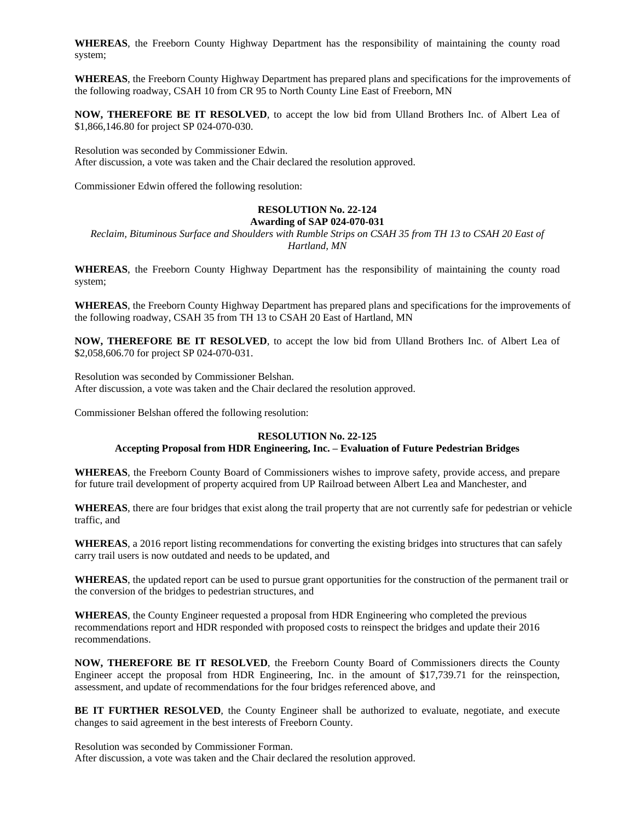**WHEREAS**, the Freeborn County Highway Department has the responsibility of maintaining the county road system;

**WHEREAS**, the Freeborn County Highway Department has prepared plans and specifications for the improvements of the following roadway, CSAH 10 from CR 95 to North County Line East of Freeborn, MN

**NOW, THEREFORE BE IT RESOLVED**, to accept the low bid from Ulland Brothers Inc. of Albert Lea of \$1,866,146.80 for project SP 024-070-030.

Resolution was seconded by Commissioner Edwin. After discussion, a vote was taken and the Chair declared the resolution approved.

Commissioner Edwin offered the following resolution:

# **RESOLUTION No. 22-124**

# **Awarding of SAP 024-070-031** *Reclaim, Bituminous Surface and Shoulders with Rumble Strips on CSAH 35 from TH 13 to CSAH 20 East of*

*Hartland, MN*

**WHEREAS**, the Freeborn County Highway Department has the responsibility of maintaining the county road system;

**WHEREAS**, the Freeborn County Highway Department has prepared plans and specifications for the improvements of the following roadway, CSAH 35 from TH 13 to CSAH 20 East of Hartland, MN

**NOW, THEREFORE BE IT RESOLVED**, to accept the low bid from Ulland Brothers Inc. of Albert Lea of \$2,058,606.70 for project SP 024-070-031.

Resolution was seconded by Commissioner Belshan. After discussion, a vote was taken and the Chair declared the resolution approved.

Commissioner Belshan offered the following resolution:

#### **RESOLUTION No. 22-125**

#### **Accepting Proposal from HDR Engineering, Inc. – Evaluation of Future Pedestrian Bridges**

**WHEREAS**, the Freeborn County Board of Commissioners wishes to improve safety, provide access, and prepare for future trail development of property acquired from UP Railroad between Albert Lea and Manchester, and

**WHEREAS**, there are four bridges that exist along the trail property that are not currently safe for pedestrian or vehicle traffic, and

**WHEREAS**, a 2016 report listing recommendations for converting the existing bridges into structures that can safely carry trail users is now outdated and needs to be updated, and

**WHEREAS**, the updated report can be used to pursue grant opportunities for the construction of the permanent trail or the conversion of the bridges to pedestrian structures, and

**WHEREAS**, the County Engineer requested a proposal from HDR Engineering who completed the previous recommendations report and HDR responded with proposed costs to reinspect the bridges and update their 2016 recommendations.

**NOW, THEREFORE BE IT RESOLVED**, the Freeborn County Board of Commissioners directs the County Engineer accept the proposal from HDR Engineering, Inc. in the amount of \$17,739.71 for the reinspection, assessment, and update of recommendations for the four bridges referenced above, and

**BE IT FURTHER RESOLVED**, the County Engineer shall be authorized to evaluate, negotiate, and execute changes to said agreement in the best interests of Freeborn County.

Resolution was seconded by Commissioner Forman. After discussion, a vote was taken and the Chair declared the resolution approved.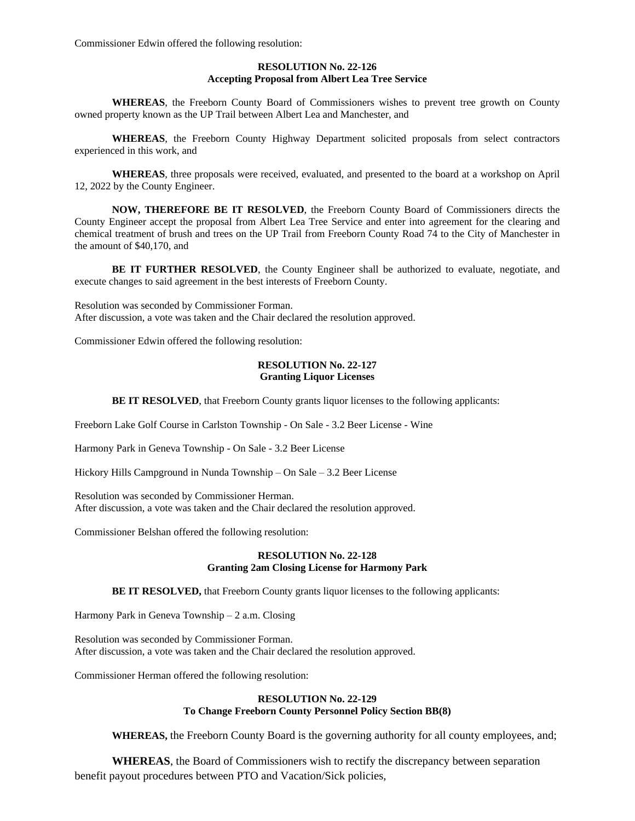Commissioner Edwin offered the following resolution:

# **RESOLUTION No. 22-126 Accepting Proposal from Albert Lea Tree Service**

**WHEREAS**, the Freeborn County Board of Commissioners wishes to prevent tree growth on County owned property known as the UP Trail between Albert Lea and Manchester, and

**WHEREAS**, the Freeborn County Highway Department solicited proposals from select contractors experienced in this work, and

**WHEREAS**, three proposals were received, evaluated, and presented to the board at a workshop on April 12, 2022 by the County Engineer.

**NOW, THEREFORE BE IT RESOLVED**, the Freeborn County Board of Commissioners directs the County Engineer accept the proposal from Albert Lea Tree Service and enter into agreement for the clearing and chemical treatment of brush and trees on the UP Trail from Freeborn County Road 74 to the City of Manchester in the amount of \$40,170, and

**BE IT FURTHER RESOLVED**, the County Engineer shall be authorized to evaluate, negotiate, and execute changes to said agreement in the best interests of Freeborn County.

Resolution was seconded by Commissioner Forman. After discussion, a vote was taken and the Chair declared the resolution approved.

Commissioner Edwin offered the following resolution:

### **RESOLUTION No. 22-127 Granting Liquor Licenses**

**BE IT RESOLVED**, that Freeborn County grants liquor licenses to the following applicants:

Freeborn Lake Golf Course in Carlston Township - On Sale - 3.2 Beer License - Wine

Harmony Park in Geneva Township - On Sale - 3.2 Beer License

Hickory Hills Campground in Nunda Township – On Sale – 3.2 Beer License

Resolution was seconded by Commissioner Herman. After discussion, a vote was taken and the Chair declared the resolution approved.

Commissioner Belshan offered the following resolution:

# **RESOLUTION No. 22-128 Granting 2am Closing License for Harmony Park**

**BE IT RESOLVED,** that Freeborn County grants liquor licenses to the following applicants:

Harmony Park in Geneva Township – 2 a.m. Closing

Resolution was seconded by Commissioner Forman. After discussion, a vote was taken and the Chair declared the resolution approved.

Commissioner Herman offered the following resolution:

## **RESOLUTION No. 22-129 To Change Freeborn County Personnel Policy Section BB(8)**

**WHEREAS,** the Freeborn County Board is the governing authority for all county employees, and;

**WHEREAS**, the Board of Commissioners wish to rectify the discrepancy between separation benefit payout procedures between PTO and Vacation/Sick policies,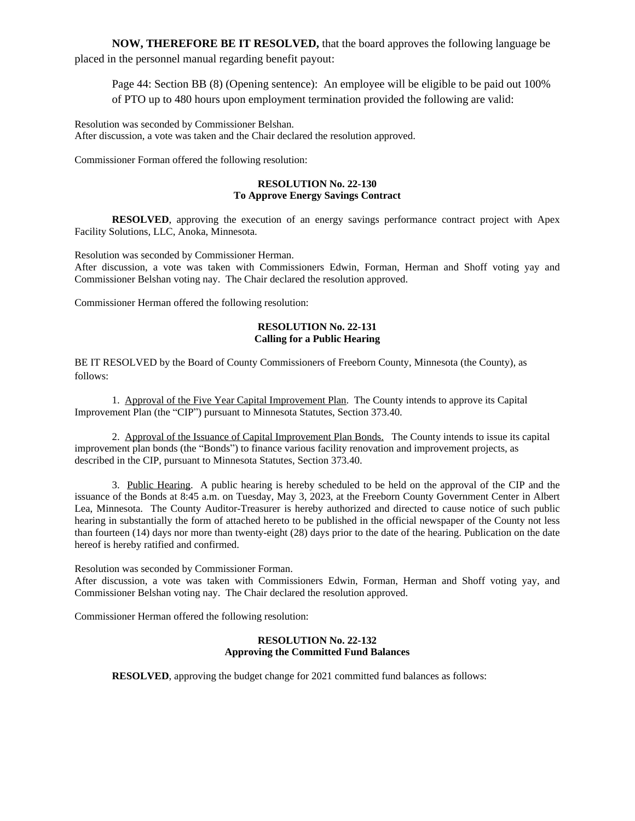**NOW, THEREFORE BE IT RESOLVED,** that the board approves the following language be placed in the personnel manual regarding benefit payout:

Page 44: Section BB (8) (Opening sentence): An employee will be eligible to be paid out 100% of PTO up to 480 hours upon employment termination provided the following are valid:

Resolution was seconded by Commissioner Belshan. After discussion, a vote was taken and the Chair declared the resolution approved.

Commissioner Forman offered the following resolution:

# **RESOLUTION No. 22-130 To Approve Energy Savings Contract**

**RESOLVED**, approving the execution of an energy savings performance contract project with Apex Facility Solutions, LLC, Anoka, Minnesota.

Resolution was seconded by Commissioner Herman. After discussion, a vote was taken with Commissioners Edwin, Forman, Herman and Shoff voting yay and Commissioner Belshan voting nay. The Chair declared the resolution approved.

Commissioner Herman offered the following resolution:

## **RESOLUTION No. 22-131 Calling for a Public Hearing**

BE IT RESOLVED by the Board of County Commissioners of Freeborn County, Minnesota (the County), as follows:

1. Approval of the Five Year Capital Improvement Plan. The County intends to approve its Capital Improvement Plan (the "CIP") pursuant to Minnesota Statutes, Section 373.40.

2. Approval of the Issuance of Capital Improvement Plan Bonds. The County intends to issue its capital improvement plan bonds (the "Bonds") to finance various facility renovation and improvement projects, as described in the CIP, pursuant to Minnesota Statutes, Section 373.40.

3. Public Hearing. A public hearing is hereby scheduled to be held on the approval of the CIP and the issuance of the Bonds at 8:45 a.m. on Tuesday, May 3, 2023, at the Freeborn County Government Center in Albert Lea, Minnesota. The County Auditor-Treasurer is hereby authorized and directed to cause notice of such public hearing in substantially the form of attached hereto to be published in the official newspaper of the County not less than fourteen (14) days nor more than twenty-eight (28) days prior to the date of the hearing. Publication on the date hereof is hereby ratified and confirmed.

Resolution was seconded by Commissioner Forman.

After discussion, a vote was taken with Commissioners Edwin, Forman, Herman and Shoff voting yay, and Commissioner Belshan voting nay. The Chair declared the resolution approved.

Commissioner Herman offered the following resolution:

## **RESOLUTION No. 22-132 Approving the Committed Fund Balances**

**RESOLVED**, approving the budget change for 2021 committed fund balances as follows: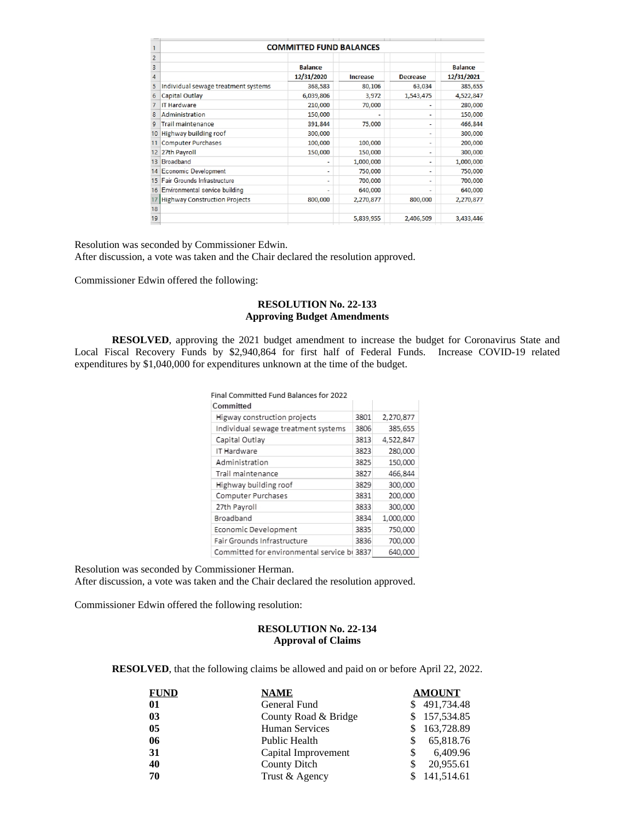|                | <b>COMMITTED FUND BALANCES</b>       |                          |           |                              |                |
|----------------|--------------------------------------|--------------------------|-----------|------------------------------|----------------|
| $\overline{c}$ |                                      |                          |           |                              |                |
| 3              |                                      | <b>Balance</b>           |           |                              | <b>Balance</b> |
| 4              |                                      | 12/31/2020               | Increase  | <b>Decrease</b>              | 12/31/2021     |
| 5              | Individual sewage treatment systems  | 368,583                  | 80,106    | 63,034                       | 385,655        |
| 6              | Capital Outlay                       | 6,039,806                | 3,972     | 1,543,475                    | 4,522,847      |
|                | <b>IT Hardware</b>                   | 210,000                  | 70,000    |                              | 280,000        |
| 8              | Administration                       | 150,000                  |           | $\qquad \qquad \blacksquare$ | 150,000        |
| 9              | <b>Trail maintenance</b>             | 391,844                  | 75,000    | -                            | 466,844        |
| 10             | Highway building roof                | 300,000                  |           | $\blacksquare$               | 300,000        |
|                | <b>Computer Purchases</b>            | 100,000                  | 100,000   | -                            | 200,000        |
| 12             | 27th Payroll                         | 150,000                  | 150,000   | ۰                            | 300,000        |
| 13             | <b>Broadband</b>                     |                          | 1,000,000 | ٠                            | 1,000,000      |
| 14             | <b>Economic Development</b>          | ٠                        | 750,000   | ٠                            | 750,000        |
| 15             | Fair Grounds Infrastructure          | $\overline{\phantom{0}}$ | 700,000   | ٠                            | 700,000        |
| 16             | Environmental service building       | -                        | 640,000   | $\overline{\phantom{0}}$     | 640,000        |
|                | <b>Highway Construction Projects</b> | 800,000                  | 2,270,877 | 800,000                      | 2,270,877      |
| 18             |                                      |                          |           |                              |                |
| 19             |                                      |                          | 5,839,955 | 2,406,509                    | 3,433,446      |
|                |                                      |                          |           |                              |                |

Resolution was seconded by Commissioner Edwin. After discussion, a vote was taken and the Chair declared the resolution approved.

Commissioner Edwin offered the following:

#### **RESOLUTION No. 22-133 Approving Budget Amendments**

**RESOLVED**, approving the 2021 budget amendment to increase the budget for Coronavirus State and Local Fiscal Recovery Funds by \$2,940,864 for first half of Federal Funds. Increase COVID-19 related expenditures by \$1,040,000 for expenditures unknown at the time of the budget.

| Final Committed Fund Balances for 2022      |      |           |
|---------------------------------------------|------|-----------|
| Committed                                   |      |           |
| Higway construction projects                | 3801 | 2,270,877 |
| Individual sewage treatment systems         | 3806 | 385,655   |
| Capital Outlay                              | 3813 | 4,522,847 |
| IT Hardware                                 | 3823 | 280,000   |
| Administration                              | 3825 | 150,000   |
| Trail maintenance                           | 3827 | 466,844   |
| Highway building roof                       | 3829 | 300,000   |
| Computer Purchases                          | 3831 | 200,000   |
| 27th Payroll                                | 3833 | 300,000   |
| Broadband                                   | 3834 | 1,000,000 |
| Economic Development                        | 3835 | 750,000   |
| Fair Grounds Infrastructure                 | 3836 | 700,000   |
| Committed for environmental service bi 3837 |      | 640,000   |

Resolution was seconded by Commissioner Herman. After discussion, a vote was taken and the Chair declared the resolution approved.

Commissioner Edwin offered the following resolution:

# **RESOLUTION No. 22-134 Approval of Claims**

**RESOLVED**, that the following claims be allowed and paid on or before April 22, 2022.

| <b>FUND</b> | <b>NAME</b>          | <b>AMOUNT</b> |
|-------------|----------------------|---------------|
| 01          | General Fund         | \$491,734.48  |
| 03          | County Road & Bridge | \$157,534.85  |
| 05          | Human Services       | 163,728.89    |
| 06          | Public Health        | 65,818.76     |
| 31          | Capital Improvement  | 6,409.96      |
| 40          | County Ditch         | 20,955.61     |
| 70          | Trust & Agency       | 141,514.61    |